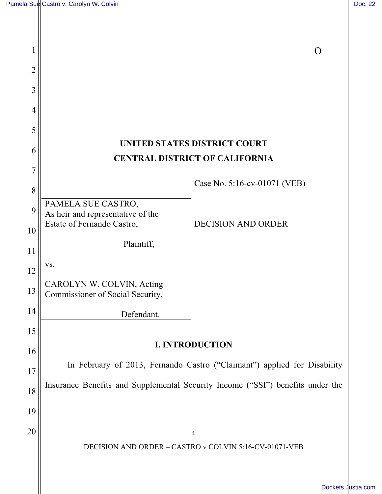| 1              |                                                                                |                              | O |
|----------------|--------------------------------------------------------------------------------|------------------------------|---|
| 2              |                                                                                |                              |   |
| 3              |                                                                                |                              |   |
| $\overline{4}$ |                                                                                |                              |   |
| 5              |                                                                                |                              |   |
| 6              | UNITED STATES DISTRICT COURT                                                   |                              |   |
| 7              | <b>CENTRAL DISTRICT OF CALIFORNIA</b>                                          |                              |   |
| 8              |                                                                                | Case No. 5:16-cv-01071 (VEB) |   |
| 9              | PAMELA SUE CASTRO,<br>As heir and representative of the                        |                              |   |
| 10             | Estate of Fernando Castro,                                                     | <b>DECISION AND ORDER</b>    |   |
| 11             | Plaintiff,                                                                     |                              |   |
| 12             | VS.                                                                            |                              |   |
| 13             | CAROLYN W. COLVIN, Acting<br>Commissioner of Social Security,                  |                              |   |
| 14             | Defendant.                                                                     |                              |   |
| 15             |                                                                                |                              |   |
| 16             | <b>I. INTRODUCTION</b>                                                         |                              |   |
| 17             | In February of 2013, Fernando Castro ("Claimant") applied for Disability       |                              |   |
| 18             | Insurance Benefits and Supplemental Security Income ("SSI") benefits under the |                              |   |
| 19             |                                                                                |                              |   |
| 20             |                                                                                | $\mathbf 1$                  |   |
|                | DECISION AND ORDER - CASTRO v COLVIN 5:16-CV-01071-VEB                         |                              |   |

[Dockets.Justia.com](https://dockets.justia.com/)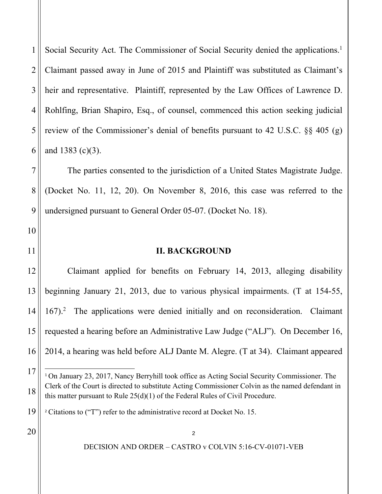4 5 6 Social Security Act. The Commissioner of Social Security denied the applications.<sup>1</sup> Claimant passed away in June of 2015 and Plaintiff was substituted as Claimant's heir and representative. Plaintiff, represented by the Law Offices of Lawrence D. Rohlfing, Brian Shapiro, Esq., of counsel, commenced this action seeking judicial review of the Commissioner's denial of benefits pursuant to 42 U.S.C. §§ 405 (g) and 1383 (c)(3).

The parties consented to the jurisdiction of a United States Magistrate Judge. (Docket No. 11, 12, 20). On November 8, 2016, this case was referred to the undersigned pursuant to General Order 05-07. (Docket No. 18).

11

10

1

2

3

7

8

9

## **II. BACKGROUND**

12 13 14 15 16 Claimant applied for benefits on February 14, 2013, alleging disability beginning January 21, 2013, due to various physical impairments. (T at 154-55, 167).<sup>2</sup> The applications were denied initially and on reconsideration. Claimant requested a hearing before an Administrative Law Judge ("ALJ"). On December 16, 2014, a hearing was held before ALJ Dante M. Alegre. (T at 34). Claimant appeared

20

17

÷

18

<sup>&</sup>lt;sup>1</sup> On January 23, 2017, Nancy Berryhill took office as Acting Social Security Commissioner. The Clerk of the Court is directed to substitute Acting Commissioner Colvin as the named defendant in this matter pursuant to Rule  $25(d)(1)$  of the Federal Rules of Civil Procedure.

<sup>19</sup> <sup>2</sup> Citations to ("T") refer to the administrative record at Docket No. 15.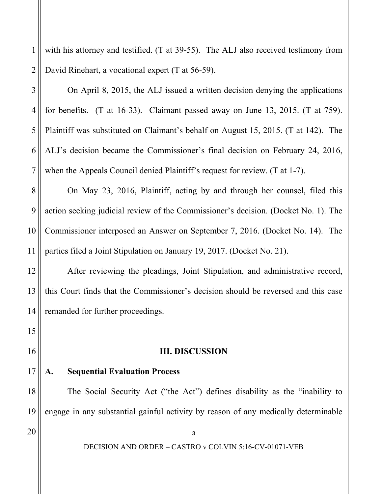1 2 with his attorney and testified. (T at 39-55). The ALJ also received testimony from David Rinehart, a vocational expert (T at 56-59).

 On April 8, 2015, the ALJ issued a written decision denying the applications for benefits. (T at 16-33). Claimant passed away on June 13, 2015. (T at 759). Plaintiff was substituted on Claimant's behalf on August 15, 2015. (T at 142). The ALJ's decision became the Commissioner's final decision on February 24, 2016, when the Appeals Council denied Plaintiff's request for review. (T at 1-7).

 On May 23, 2016, Plaintiff, acting by and through her counsel, filed this action seeking judicial review of the Commissioner's decision. (Docket No. 1). The Commissioner interposed an Answer on September 7, 2016. (Docket No. 14). The parties filed a Joint Stipulation on January 19, 2017. (Docket No. 21).

 After reviewing the pleadings, Joint Stipulation, and administrative record, this Court finds that the Commissioner's decision should be reversed and this case remanded for further proceedings.

# **III. DISCUSSION**

#### 17 **A. Sequential Evaluation Process**

The Social Security Act ("the Act") defines disability as the "inability to engage in any substantial gainful activity by reason of any medically determinable

20

3

4

5

6

7

8

9

10

11

12

13

14

15

16

18

19

DECISION AND ORDER – CASTRO v COLVIN 5:16-CV-01071-VEB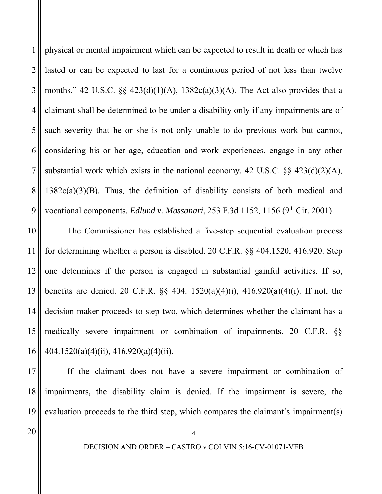1 2 3 4 5 6 7 8 9 physical or mental impairment which can be expected to result in death or which has lasted or can be expected to last for a continuous period of not less than twelve months." 42 U.S.C.  $\S$  423(d)(1)(A), 1382c(a)(3)(A). The Act also provides that a claimant shall be determined to be under a disability only if any impairments are of such severity that he or she is not only unable to do previous work but cannot, considering his or her age, education and work experiences, engage in any other substantial work which exists in the national economy. 42 U.S.C. §§ 423(d)(2)(A),  $1382c(a)(3)(B)$ . Thus, the definition of disability consists of both medical and vocational components. *Edlund v. Massanari*, 253 F.3d 1152, 1156 (9<sup>th</sup> Cir. 2001).

10 11 12 13 14 15 16 The Commissioner has established a five-step sequential evaluation process for determining whether a person is disabled. 20 C.F.R. §§ 404.1520, 416.920. Step one determines if the person is engaged in substantial gainful activities. If so, benefits are denied. 20 C.F.R. §§ 404. 1520(a)(4)(i), 416.920(a)(4)(i). If not, the decision maker proceeds to step two, which determines whether the claimant has a medically severe impairment or combination of impairments. 20 C.F.R. §§ 404.1520(a)(4)(ii), 416.920(a)(4)(ii).

17 18 19 If the claimant does not have a severe impairment or combination of impairments, the disability claim is denied. If the impairment is severe, the evaluation proceeds to the third step, which compares the claimant's impairment(s)

20

DECISION AND ORDER – CASTRO v COLVIN 5:16-CV-01071-VEB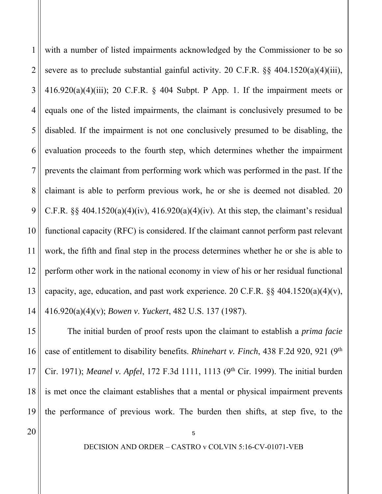1 2 3 4 5 6 7 8 9 10 11 12 13 14 with a number of listed impairments acknowledged by the Commissioner to be so severe as to preclude substantial gainful activity. 20 C.F.R. §§ 404.1520(a)(4)(iii),  $416.920(a)(4)(iii)$ ; 20 C.F.R. § 404 Subpt. P App. 1. If the impairment meets or equals one of the listed impairments, the claimant is conclusively presumed to be disabled. If the impairment is not one conclusively presumed to be disabling, the evaluation proceeds to the fourth step, which determines whether the impairment prevents the claimant from performing work which was performed in the past. If the claimant is able to perform previous work, he or she is deemed not disabled. 20 C.F.R.  $\S$ § 404.1520(a)(4)(iv), 416.920(a)(4)(iv). At this step, the claimant's residual functional capacity (RFC) is considered. If the claimant cannot perform past relevant work, the fifth and final step in the process determines whether he or she is able to perform other work in the national economy in view of his or her residual functional capacity, age, education, and past work experience. 20 C.F.R.  $\S$ § 404.1520(a)(4)(v), 416.920(a)(4)(v); *Bowen v*. *Yuckert*, 482 U.S. 137 (1987).

15 16 17 18 19 The initial burden of proof rests upon the claimant to establish a *prima facie* case of entitlement to disability benefits. *Rhinehart v. Finch*, 438 F.2d 920, 921 (9th Cir. 1971); *Meanel v. Apfel*, 172 F.3d 1111, 1113 (9th Cir. 1999). The initial burden is met once the claimant establishes that a mental or physical impairment prevents the performance of previous work. The burden then shifts, at step five, to the

20

DECISION AND ORDER – CASTRO v COLVIN 5:16-CV-01071-VEB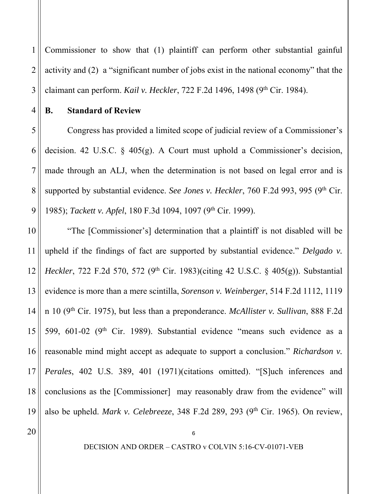1 2 3 Commissioner to show that (1) plaintiff can perform other substantial gainful activity and (2) a "significant number of jobs exist in the national economy" that the claimant can perform. *Kail v. Heckler*, 722 F.2d 1496, 1498 (9<sup>th</sup> Cir. 1984).

4

5

6

7

8

9

# **B. Standard of Review**

Congress has provided a limited scope of judicial review of a Commissioner's decision. 42 U.S.C. § 405(g). A Court must uphold a Commissioner's decision, made through an ALJ, when the determination is not based on legal error and is supported by substantial evidence. *See Jones v. Heckler*, 760 F.2d 993, 995 (9<sup>th</sup> Cir. 1985); *Tackett v. Apfel*, 180 F.3d 1094, 1097 (9<sup>th</sup> Cir. 1999).

10 11 12 13 14 15 16 17 18 19 "The [Commissioner's] determination that a plaintiff is not disabled will be upheld if the findings of fact are supported by substantial evidence." *Delgado v. Heckler*, 722 F.2d 570, 572 (9<sup>th</sup> Cir. 1983)(citing 42 U.S.C. § 405(g)). Substantial evidence is more than a mere scintilla, *Sorenson v. Weinberger*, 514 F.2d 1112, 1119 n 10 (9th Cir. 1975), but less than a preponderance. *McAllister v. Sullivan*, 888 F.2d 599, 601-02 (9<sup>th</sup> Cir. 1989). Substantial evidence "means such evidence as a reasonable mind might accept as adequate to support a conclusion." *Richardson v. Perales*, 402 U.S. 389, 401 (1971)(citations omitted). "[S]uch inferences and conclusions as the [Commissioner] may reasonably draw from the evidence" will also be upheld. *Mark v. Celebreeze*, 348 F.2d 289, 293 (9<sup>th</sup> Cir. 1965). On review,

20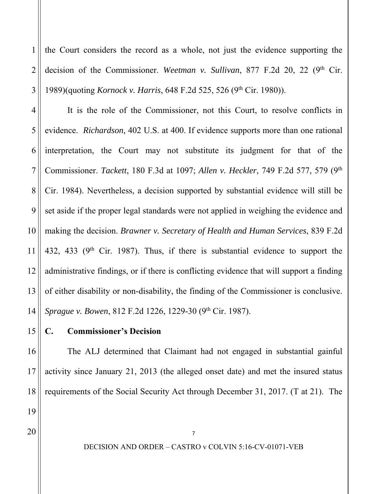2 3 the Court considers the record as a whole, not just the evidence supporting the decision of the Commissioner. *Weetman v. Sullivan*, 877 F.2d 20, 22 (9<sup>th</sup> Cir. 1989)(quoting *Kornock v. Harris*, 648 F.2d 525, 526 (9th Cir. 1980)).

4 5 6 7 8 9 10 11 12 13 14 It is the role of the Commissioner, not this Court, to resolve conflicts in evidence. *Richardson*, 402 U.S. at 400. If evidence supports more than one rational interpretation, the Court may not substitute its judgment for that of the Commissioner. *Tackett*, 180 F.3d at 1097; *Allen v. Heckler*, 749 F.2d 577, 579 (9th Cir. 1984). Nevertheless, a decision supported by substantial evidence will still be set aside if the proper legal standards were not applied in weighing the evidence and making the decision. *Brawner v. Secretary of Health and Human Services*, 839 F.2d 432, 433 ( $9<sup>th</sup>$  Cir. 1987). Thus, if there is substantial evidence to support the administrative findings, or if there is conflicting evidence that will support a finding of either disability or non-disability, the finding of the Commissioner is conclusive. *Sprague v. Bowen*, 812 F.2d 1226, 1229-30 (9<sup>th</sup> Cir. 1987).

15 **C. Commissioner's Decision** 

16 17 18 The ALJ determined that Claimant had not engaged in substantial gainful activity since January 21, 2013 (the alleged onset date) and met the insured status requirements of the Social Security Act through December 31, 2017. (T at 21). The

20

19

1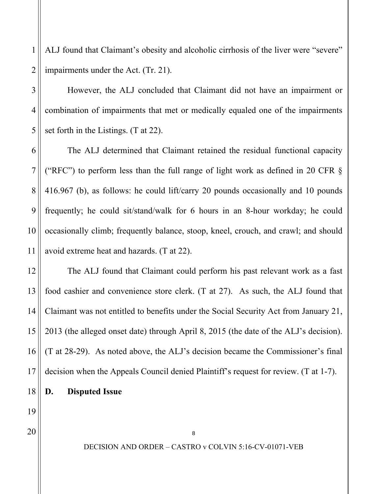2 ALJ found that Claimant's obesity and alcoholic cirrhosis of the liver were "severe" impairments under the Act. (Tr. 21).

 However, the ALJ concluded that Claimant did not have an impairment or combination of impairments that met or medically equaled one of the impairments set forth in the Listings. (T at 22).

 The ALJ determined that Claimant retained the residual functional capacity ("RFC") to perform less than the full range of light work as defined in 20 CFR § 416.967 (b), as follows: he could lift/carry 20 pounds occasionally and 10 pounds frequently; he could sit/stand/walk for 6 hours in an 8-hour workday; he could occasionally climb; frequently balance, stoop, kneel, crouch, and crawl; and should avoid extreme heat and hazards. (T at 22).

12 13 14 15 16 17 The ALJ found that Claimant could perform his past relevant work as a fast food cashier and convenience store clerk. (T at 27). As such, the ALJ found that Claimant was not entitled to benefits under the Social Security Act from January 21, 2013 (the alleged onset date) through April 8, 2015 (the date of the ALJ's decision). (T at 28-29). As noted above, the ALJ's decision became the Commissioner's final decision when the Appeals Council denied Plaintiff's request for review. (T at 1-7).

18 **D. Disputed Issue** 

19 20

1

3

4

5

6

7

8

9

10

11

DECISION AND ORDER – CASTRO v COLVIN 5:16-CV-01071-VEB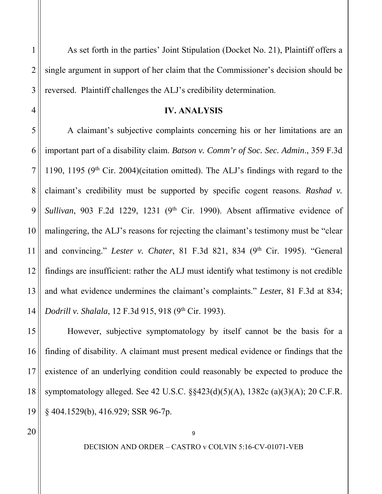As set forth in the parties' Joint Stipulation (Docket No. 21), Plaintiff offers a single argument in support of her claim that the Commissioner's decision should be reversed. Plaintiff challenges the ALJ's credibility determination.

## **IV. ANALYSIS**

 A claimant's subjective complaints concerning his or her limitations are an important part of a disability claim. *Batson v. Comm'r of Soc. Sec. Admin*., 359 F.3d 1190, 1195 ( $9<sup>th</sup>$  Cir. 2004)(citation omitted). The ALJ's findings with regard to the claimant's credibility must be supported by specific cogent reasons. *Rashad v.*  Sullivan, 903 F.2d 1229, 1231 (9<sup>th</sup> Cir. 1990). Absent affirmative evidence of malingering, the ALJ's reasons for rejecting the claimant's testimony must be "clear and convincing." *Lester v. Chater*, 81 F.3d 821, 834 (9<sup>th</sup> Cir. 1995). "General findings are insufficient: rather the ALJ must identify what testimony is not credible and what evidence undermines the claimant's complaints." *Leste*r, 81 F.3d at 834; *Dodrill v. Shalala*, 12 F.3d 915, 918 (9<sup>th</sup> Cir. 1993).

19 However, subjective symptomatology by itself cannot be the basis for a finding of disability. A claimant must present medical evidence or findings that the existence of an underlying condition could reasonably be expected to produce the symptomatology alleged. See 42 U.S.C. §§423(d)(5)(A), 1382c (a)(3)(A); 20 C.F.R. § 404.1529(b), 416.929; SSR 96-7p.

20

DECISION AND ORDER – CASTRO v COLVIN 5:16-CV-01071-VEB

 $\overline{Q}$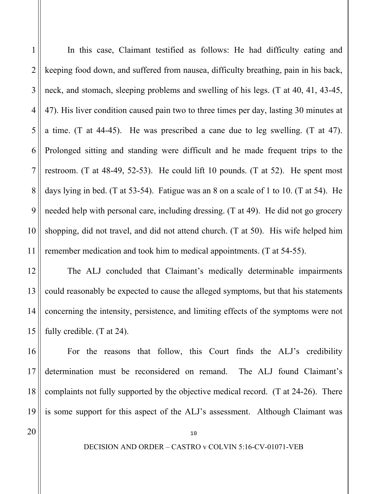1 2 3 4 5 6 7 8 9 10 11 In this case, Claimant testified as follows: He had difficulty eating and keeping food down, and suffered from nausea, difficulty breathing, pain in his back, neck, and stomach, sleeping problems and swelling of his legs. (T at 40, 41, 43-45, 47). His liver condition caused pain two to three times per day, lasting 30 minutes at a time. (T at 44-45). He was prescribed a cane due to leg swelling. (T at 47). Prolonged sitting and standing were difficult and he made frequent trips to the restroom. (T at 48-49, 52-53). He could lift 10 pounds. (T at 52). He spent most days lying in bed. (T at 53-54). Fatigue was an 8 on a scale of 1 to 10. (T at 54). He needed help with personal care, including dressing. (T at 49). He did not go grocery shopping, did not travel, and did not attend church. (T at 50). His wife helped him remember medication and took him to medical appointments. (T at 54-55).

 The ALJ concluded that Claimant's medically determinable impairments could reasonably be expected to cause the alleged symptoms, but that his statements concerning the intensity, persistence, and limiting effects of the symptoms were not fully credible. (T at 24).

16 17 18 19 For the reasons that follow, this Court finds the ALJ's credibility determination must be reconsidered on remand. The ALJ found Claimant's complaints not fully supported by the objective medical record. (T at 24-26). There is some support for this aspect of the ALJ's assessment. Although Claimant was

20

12

13

14

15

DECISION AND ORDER – CASTRO v COLVIN 5:16-CV-01071-VEB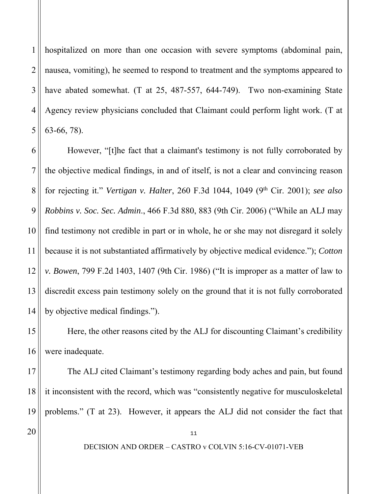1 2 3 4 5 hospitalized on more than one occasion with severe symptoms (abdominal pain, nausea, vomiting), he seemed to respond to treatment and the symptoms appeared to have abated somewhat. (T at 25, 487-557, 644-749). Two non-examining State Agency review physicians concluded that Claimant could perform light work. (T at 63-66, 78).

6 7 8 9 10 11 12 13 14 However, "[t]he fact that a claimant's testimony is not fully corroborated by the objective medical findings, in and of itself, is not a clear and convincing reason for rejecting it." *Vertigan v. Halter*, 260 F.3d 1044, 1049 (9th Cir. 2001); *see also Robbins v. Soc. Sec. Admin*., 466 F.3d 880, 883 (9th Cir. 2006) ("While an ALJ may find testimony not credible in part or in whole, he or she may not disregard it solely because it is not substantiated affirmatively by objective medical evidence."); *Cotton v. Bowen*, 799 F.2d 1403, 1407 (9th Cir. 1986) ("It is improper as a matter of law to discredit excess pain testimony solely on the ground that it is not fully corroborated by objective medical findings.").

 Here, the other reasons cited by the ALJ for discounting Claimant's credibility were inadequate.

17 18 19 The ALJ cited Claimant's testimony regarding body aches and pain, but found it inconsistent with the record, which was "consistently negative for musculoskeletal problems." (T at 23). However, it appears the ALJ did not consider the fact that

20

15

16

DECISION AND ORDER – CASTRO v COLVIN 5:16-CV-01071-VEB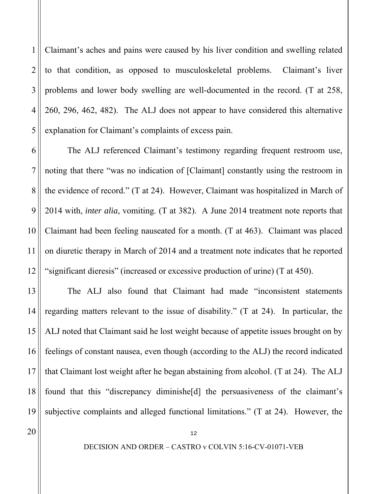1 2 3 4 5 Claimant's aches and pains were caused by his liver condition and swelling related to that condition, as opposed to musculoskeletal problems. Claimant's liver problems and lower body swelling are well-documented in the record. (T at 258, 260, 296, 462, 482). The ALJ does not appear to have considered this alternative explanation for Claimant's complaints of excess pain.

6 7 8 9 10 11 12 The ALJ referenced Claimant's testimony regarding frequent restroom use, noting that there "was no indication of [Claimant] constantly using the restroom in the evidence of record." (T at 24). However, Claimant was hospitalized in March of 2014 with, *inter alia*, vomiting. (T at 382). A June 2014 treatment note reports that Claimant had been feeling nauseated for a month. (T at 463). Claimant was placed on diuretic therapy in March of 2014 and a treatment note indicates that he reported "significant dieresis" (increased or excessive production of urine) (T at 450).

13 14 15 16 17 18 19 The ALJ also found that Claimant had made "inconsistent statements regarding matters relevant to the issue of disability." (T at 24). In particular, the ALJ noted that Claimant said he lost weight because of appetite issues brought on by feelings of constant nausea, even though (according to the ALJ) the record indicated that Claimant lost weight after he began abstaining from alcohol. (T at 24). The ALJ found that this "discrepancy diminishe[d] the persuasiveness of the claimant's subjective complaints and alleged functional limitations." (T at 24). However, the

20

DECISION AND ORDER – CASTRO v COLVIN 5:16-CV-01071-VEB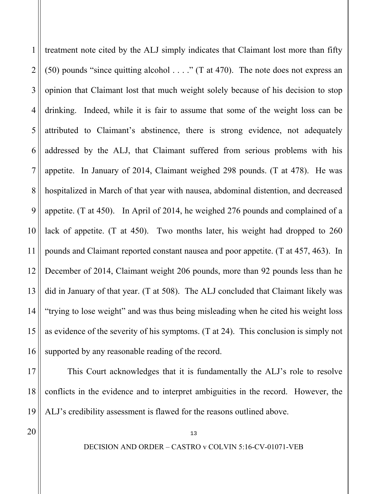1 2 3 4 5 6 7 8 9 10 11 12 13 14 15 treatment note cited by the ALJ simply indicates that Claimant lost more than fifty (50) pounds "since quitting alcohol . . . ." (T at 470). The note does not express an opinion that Claimant lost that much weight solely because of his decision to stop drinking. Indeed, while it is fair to assume that some of the weight loss can be attributed to Claimant's abstinence, there is strong evidence, not adequately addressed by the ALJ, that Claimant suffered from serious problems with his appetite. In January of 2014, Claimant weighed 298 pounds. (T at 478). He was hospitalized in March of that year with nausea, abdominal distention, and decreased appetite. (T at 450). In April of 2014, he weighed 276 pounds and complained of a lack of appetite. (T at 450). Two months later, his weight had dropped to 260 pounds and Claimant reported constant nausea and poor appetite. (T at 457, 463). In December of 2014, Claimant weight 206 pounds, more than 92 pounds less than he did in January of that year. (T at 508). The ALJ concluded that Claimant likely was "trying to lose weight" and was thus being misleading when he cited his weight loss as evidence of the severity of his symptoms. (T at 24). This conclusion is simply not supported by any reasonable reading of the record.

 This Court acknowledges that it is fundamentally the ALJ's role to resolve conflicts in the evidence and to interpret ambiguities in the record. However, the ALJ's credibility assessment is flawed for the reasons outlined above.

20

DECISION AND ORDER – CASTRO v COLVIN 5:16-CV-01071-VEB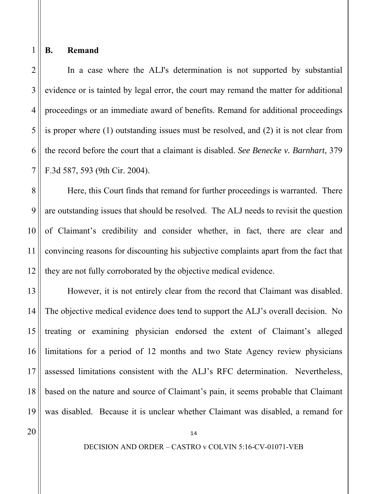## **B. Remand**

1

8

9

10

11

12

2 3 4 5 6 7 In a case where the ALJ's determination is not supported by substantial evidence or is tainted by legal error, the court may remand the matter for additional proceedings or an immediate award of benefits. Remand for additional proceedings is proper where (1) outstanding issues must be resolved, and (2) it is not clear from the record before the court that a claimant is disabled. *See Benecke v. Barnhart*, 379 F.3d 587, 593 (9th Cir. 2004).

 Here, this Court finds that remand for further proceedings is warranted. There are outstanding issues that should be resolved. The ALJ needs to revisit the question of Claimant's credibility and consider whether, in fact, there are clear and convincing reasons for discounting his subjective complaints apart from the fact that they are not fully corroborated by the objective medical evidence.

13 14 15 16 17 18 19 However, it is not entirely clear from the record that Claimant was disabled. The objective medical evidence does tend to support the ALJ's overall decision. No treating or examining physician endorsed the extent of Claimant's alleged limitations for a period of 12 months and two State Agency review physicians assessed limitations consistent with the ALJ's RFC determination. Nevertheless, based on the nature and source of Claimant's pain, it seems probable that Claimant was disabled. Because it is unclear whether Claimant was disabled, a remand for

20